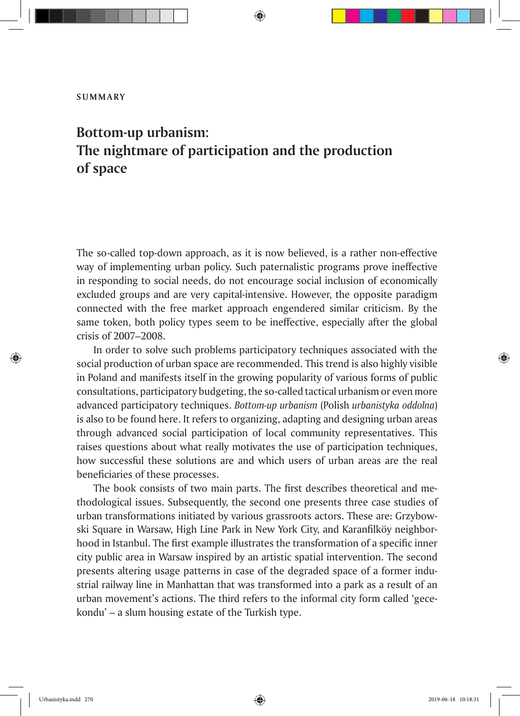## **SUMMARY**

## **Bottom-up urbanism: The nightmare of participation and the production of space**

The so-called top-down approach, as it is now believed, is a rather non-effective way of implementing urban policy. Such paternalistic programs prove ineffective in responding to social needs, do not encourage social inclusion of economically excluded groups and are very capital-intensive. However, the opposite paradigm connected with the free market approach engendered similar criticism. By the same token, both policy types seem to be ineffective, especially after the global crisis of 2007–2008.

In order to solve such problems participatory techniques associated with the social production of urban space are recommended. This trend is also highly visible in Poland and manifests itself in the growing popularity of various forms of public consultations, participatory budgeting, the so-called tactical urbanism or even more advanced participatory techniques. *Bottom-up urbanism* (Polish *urbanistyka oddolna*) is also to be found here. It refers to organizing, adapting and designing urban areas through advanced social participation of local community representatives. This raises questions about what really motivates the use of participation techniques, how successful these solutions are and which users of urban areas are the real beneficiaries of these processes.

The book consists of two main parts. The first describes theoretical and methodological issues. Subsequently, the second one presents three case studies of urban transformations initiated by various grassroots actors. These are: Grzybowski Square in Warsaw, High Line Park in New York City, and Karanfilköy neighborhood in Istanbul. The first example illustrates the transformation of a specific inner city public area in Warsaw inspired by an artistic spatial intervention. The second presents altering usage patterns in case of the degraded space of a former industrial railway line in Manhattan that was transformed into a park as a result of an urban movement's actions. The third refers to the informal city form called 'gecekondu' – a slum housing estate of the Turkish type.